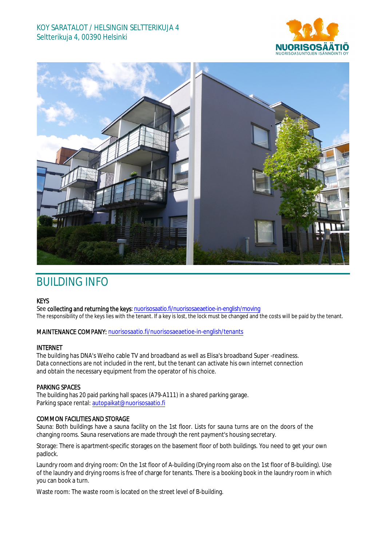# KOY SARATALOT / HELSINGIN SELTTERIKUJA 4 Seltterikuja 4, 00390 Helsinki





# BUILDING INFO

# **KEYS**

See collecting and returning the keys: nuorisosaatio.fi/nuorisosaeaetioe-in-english/moving The responsibility of the keys lies with the tenant. If a key is lost, the lock must be changed and the costs will be paid by the tenant.

## MAINTENANCE COMPANY: nuorisosaatio.fi/nuorisosaeaetioe-in-english/tenants

### INTERNET

The building has DNA's Welho cable TV and broadband as well as Elisa's broadband Super -readiness. Data connections are not included in the rent, but the tenant can activate his own internet connection and obtain the necessary equipment from the operator of his choice.

### PARKING SPACES

The building has 20 paid parking hall spaces (A79-A111) in a shared parking garage. Parking space rental: autopaikat@nuorisosaatio.fi

### COMMON FACILITIES AND STORAGE

Sauna: Both buildings have a sauna facility on the 1st floor. Lists for sauna turns are on the doors of the changing rooms. Sauna reservations are made through the rent payment's housing secretary.

Storage: There is apartment-specific storages on the basement floor of both buildings. You need to get your own padlock.

Laundry room and drying room: On the 1st floor of A-building (Drying room also on the 1st floor of B-building). Use of the laundry and drying rooms is free of charge for tenants. There is a booking book in the laundry room in which you can book a turn.

Waste room: The waste room is located on the street level of B-building.